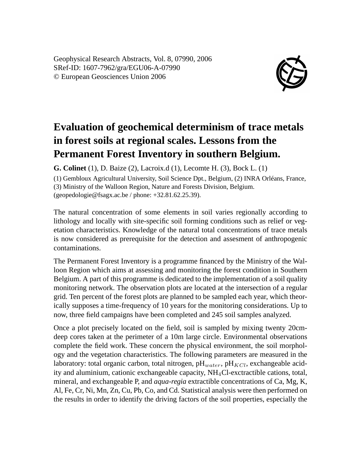Geophysical Research Abstracts, Vol. 8, 07990, 2006 SRef-ID: 1607-7962/gra/EGU06-A-07990 © European Geosciences Union 2006



## **Evaluation of geochemical determinism of trace metals in forest soils at regional scales. Lessons from the Permanent Forest Inventory in southern Belgium.**

**G. Colinet** (1), D. Baize (2), Lacroix.d (1), Lecomte H. (3), Bock L. (1)

(1) Gembloux Agricultural University, Soil Science Dpt., Belgium, (2) INRA Orléans, France, (3) Ministry of the Walloon Region, Nature and Forests Division, Belgium. (geopedologie@fsagx.ac.be / phone: +32.81.62.25.39).

The natural concentration of some elements in soil varies regionally according to lithology and locally with site-specific soil forming conditions such as relief or vegetation characteristics. Knowledge of the natural total concentrations of trace metals is now considered as prerequisite for the detection and assesment of anthropogenic contaminations.

The Permanent Forest Inventory is a programme financed by the Ministry of the Walloon Region which aims at assessing and monitoring the forest condition in Southern Belgium. A part of this programme is dedicated to the implementation of a soil quality monitoring network. The observation plots are located at the intersection of a regular grid. Ten percent of the forest plots are planned to be sampled each year, which theorically supposes a time-frequency of 10 years for the monitoring considerations. Up to now, three field campaigns have been completed and 245 soil samples analyzed.

Once a plot precisely located on the field, soil is sampled by mixing twenty 20cmdeep cores taken at the perimeter of a 10m large circle. Environmental observations complete the field work. These concern the physical environment, the soil morphology and the vegetation characteristics. The following parameters are measured in the laboratory: total organic carbon, total nitrogen,  $pH_{water}$ ,  $pH_{KC}$ , exchangeable acidity and aluminium, cationic exchangeable capacity, NH4Cl-exctractible cations, total, mineral, and exchangeable P, and *aqua-regia* extractible concentrations of Ca, Mg, K, Al, Fe, Cr, Ni, Mn, Zn, Cu, Pb, Co, and Cd. Statistical analysis were then performed on the results in order to identify the driving factors of the soil properties, especially the